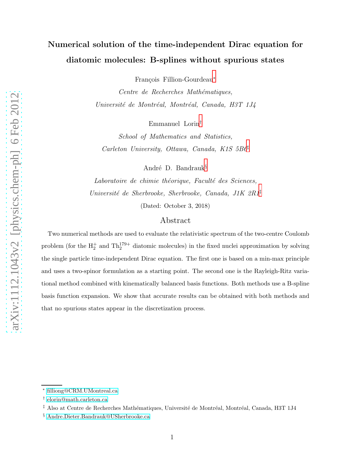# Numerical solution of the time-independent Dirac equation for diatomic molecules: B-splines without spurious states

François Fillion-Gourdeau<sup>\*</sup>

Centre de Recherches Mathématiques, Université de Montréal, Montréal, Canada, H3T 1J4

Emmanuel Lorin[†](#page-0-1)

School of Mathematics and Statistics, Carleton University, Ottawa, Canada, K1S 5B6[‡](#page-0-2)

André D. Bandrauk[§](#page-0-3)

Laboratoire de chimie théorique, Faculté des Sciences, Université de Sherbrooke, Sherbrooke, Canada, J1K 2R1<sup>[‡](#page-0-2)</sup>

(Dated: October 3, 2018)

# Abstract

Two numerical methods are used to evaluate the relativistic spectrum of the two-centre Coulomb problem (for the  $H_2^+$  and  $Th_2^{179+}$  diatomic molecules) in the fixed nuclei approximation by solving the single particle time-independent Dirac equation. The first one is based on a min-max principle and uses a two-spinor formulation as a starting point. The second one is the Rayleigh-Ritz variational method combined with kinematically balanced basis functions. Both methods use a B-spline basis function expansion. We show that accurate results can be obtained with both methods and that no spurious states appear in the discretization process.

<span id="page-0-1"></span><span id="page-0-0"></span><sup>∗</sup> [filliong@CRM.UMontreal.ca](mailto:filliong@CRM.UMontreal.ca)

<span id="page-0-2"></span><sup>†</sup> [elorin@math.carleton.ca](mailto:elorin@math.carleton.ca)

<span id="page-0-3"></span> $^\ddag$  Also at Centre de Recherches Mathématiques, Université de Montréal, Montréal, Canada, H3T 1J4

<sup>§</sup> [Andre.Dieter.Bandrauk@USherbrooke.ca](mailto:Andre.Dieter.Bandrauk@USherbrooke.ca)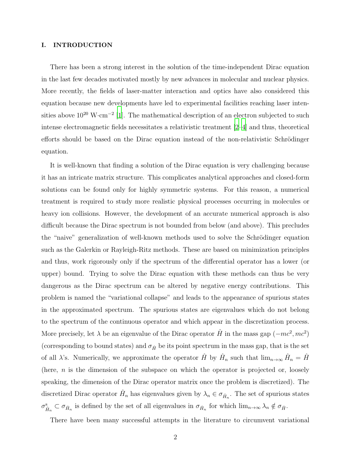# I. INTRODUCTION

There has been a strong interest in the solution of the time-independent Dirac equation in the last few decades motivated mostly by new advances in molecular and nuclear physics. More recently, the fields of laser-matter interaction and optics have also considered this equation because new developments have led to experimental facilities reaching laser inten-sities above 10<sup>20</sup> W·cm<sup>-2</sup> [\[1](#page-28-0)]. The mathematical description of an electron subjected to such intense electromagnetic fields necessitates a relativistic treatment [2[–4\]](#page-28-1) and thus, theoretical efforts should be based on the Dirac equation instead of the non-relativistic Schrödinger equation.

It is well-known that finding a solution of the Dirac equation is very challenging because it has an intricate matrix structure. This complicates analytical approaches and closed-form solutions can be found only for highly symmetric systems. For this reason, a numerical treatment is required to study more realistic physical processes occurring in molecules or heavy ion collisions. However, the development of an accurate numerical approach is also difficult because the Dirac spectrum is not bounded from below (and above). This precludes the "naive" generalization of well-known methods used to solve the Schrödinger equation such as the Galerkin or Rayleigh-Ritz methods. These are based on minimization principles and thus, work rigorously only if the spectrum of the differential operator has a lower (or upper) bound. Trying to solve the Dirac equation with these methods can thus be very dangerous as the Dirac spectrum can be altered by negative energy contributions. This problem is named the "variational collapse" and leads to the appearance of spurious states in the approximated spectrum. The spurious states are eigenvalues which do not belong to the spectrum of the continuous operator and which appear in the discretization process. More precisely, let  $\lambda$  be an eigenvalue of the Dirac operator  $\hat{H}$  in the mass gap  $(-mc^2, mc^2)$ (corresponding to bound states) and  $\sigma_{\hat{H}}$  be its point spectrum in the mass gap, that is the set of all  $\lambda$ 's. Numerically, we approximate the operator  $\hat{H}$  by  $\hat{H}_n$  such that  $\lim_{n\to\infty} \hat{H}_n = \hat{H}$ (here,  $n$  is the dimension of the subspace on which the operator is projected or, loosely speaking, the dimension of the Dirac operator matrix once the problem is discretized). The discretized Dirac operator  $\hat{H}_n$  has eigenvalues given by  $\lambda_n \in \sigma_{\hat{H}_n}$ . The set of spurious states  $\sigma_{\hat{H}_n}^s \subset \sigma_{\hat{H}_n}$  is defined by the set of all eigenvalues in  $\sigma_{\hat{H}_n}$  for which  $\lim_{n\to\infty}\lambda_n \notin \sigma_{\hat{H}}$ .

There have been many successful attempts in the literature to circumvent variational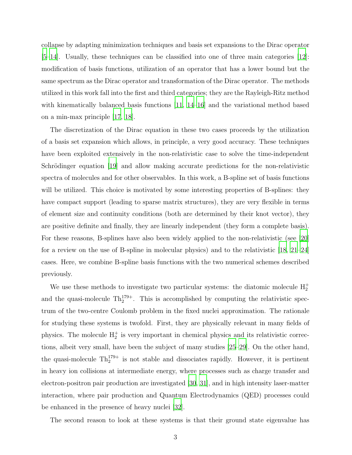collapse by adapting minimization techniques and basis set expansions to the Dirac operator [5[–14\]](#page-28-2). Usually, these techniques can be classified into one of three main categories [\[12\]](#page-28-3): modification of basis functions, utilization of an operator that has a lower bound but the same spectrum as the Dirac operator and transformation of the Dirac operator. The methods utilized in this work fall into the first and third categories; they are the Rayleigh-Ritz method with kinematically balanced basis functions [\[11,](#page-28-4) [14](#page-28-2)[–16\]](#page-29-0) and the variational method based on a min-max principle [\[17](#page-29-1), [18](#page-29-2)].

The discretization of the Dirac equation in these two cases proceeds by the utilization of a basis set expansion which allows, in principle, a very good accuracy. These techniques have been exploited extensively in the non-relativistic case to solve the time-independent Schrödinger equation  $|19|$  and allow making accurate predictions for the non-relativistic spectra of molecules and for other observables. In this work, a B-spline set of basis functions will be utilized. This choice is motivated by some interesting properties of B-splines: they have compact support (leading to sparse matrix structures), they are very flexible in terms of element size and continuity conditions (both are determined by their knot vector), they are positive definite and finally, they are linearly independent (they form a complete basis). For these reasons, B-splines have also been widely applied to the non-relativistic (see [\[20\]](#page-29-3) for a review on the use of B-spline in molecular physics) and to the relativistic [\[18](#page-29-2), [21](#page-29-4)[–24\]](#page-29-5) cases. Here, we combine B-spline basis functions with the two numerical schemes described previously.

We use these methods to investigate two particular systems: the diatomic molecule  $H_2^+$ and the quasi-molecule  $\text{Th}_2^{179+}$ . This is accomplished by computing the relativistic spectrum of the two-centre Coulomb problem in the fixed nuclei approximation. The rationale for studying these systems is twofold. First, they are physically relevant in many fields of physics. The molecule  $H_2^+$  is very important in chemical physics and its relativistic corrections, albeit very small, have been the subject of many studies [\[25](#page-29-6)[–29\]](#page-29-7). On the other hand, the quasi-molecule  $\text{Th}_2^{179+}$  is not stable and dissociates rapidly. However, it is pertinent in heavy ion collisions at intermediate energy, where processes such as charge transfer and electron-positron pair production are investigated [\[30](#page-29-8), [31](#page-29-9)], and in high intensity laser-matter interaction, where pair production and Quantum Electrodynamics (QED) processes could be enhanced in the presence of heavy nuclei [\[32](#page-29-10)].

The second reason to look at these systems is that their ground state eigenvalue has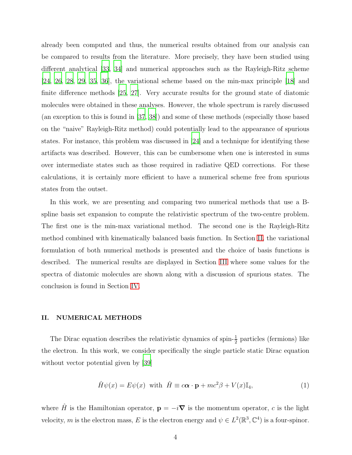already been computed and thus, the numerical results obtained from our analysis can be compared to results from the literature. More precisely, they have been studied using different analytical [\[33](#page-29-11), [34\]](#page-29-12) and numerical approaches such as the Rayleigh-Ritz scheme [\[24,](#page-29-5) [26](#page-29-13), [28](#page-29-14), [29,](#page-29-7) [35,](#page-29-15) [36](#page-29-16)], the variational scheme based on the min-max principle [\[18\]](#page-29-2) and finite difference methods [\[25,](#page-29-6) [27\]](#page-29-17). Very accurate results for the ground state of diatomic molecules were obtained in these analyses. However, the whole spectrum is rarely discussed (an exception to this is found in [\[37](#page-29-18), [38\]](#page-30-0)) and some of these methods (especially those based on the "naive" Rayleigh-Ritz method) could potentially lead to the appearance of spurious states. For instance, this problem was discussed in [\[24\]](#page-29-5) and a technique for identifying these artifacts was described. However, this can be cumbersome when one is interested in sums over intermediate states such as those required in radiative QED corrections. For these calculations, it is certainly more efficient to have a numerical scheme free from spurious states from the outset.

In this work, we are presenting and comparing two numerical methods that use a Bspline basis set expansion to compute the relativistic spectrum of the two-centre problem. The first one is the min-max variational method. The second one is the Rayleigh-Ritz method combined with kinematically balanced basis function. In Section [II,](#page-3-0) the variational formulation of both numerical methods is presented and the choice of basis functions is described. The numerical results are displayed in Section [III](#page-15-0) where some values for the spectra of diatomic molecules are shown along with a discussion of spurious states. The conclusion is found in Section [IV.](#page-23-0)

# <span id="page-3-0"></span>II. NUMERICAL METHODS

The Dirac equation describes the relativistic dynamics of spin- $\frac{1}{2}$  particles (fermions) like the electron. In this work, we consider specifically the single particle static Dirac equation without vector potential given by [\[39\]](#page-30-1)

<span id="page-3-1"></span>
$$
\hat{H}\psi(x) = E\psi(x) \text{ with } \hat{H} \equiv c\alpha \cdot \mathbf{p} + mc^2\beta + V(x)\mathbb{I}_4,\tag{1}
$$

where  $\hat{H}$  is the Hamiltonian operator,  $\mathbf{p} = -i\nabla$  is the momentum operator, c is the light velocity, m is the electron mass, E is the electron energy and  $\psi \in L^2(\mathbb{R}^3, \mathbb{C}^4)$  is a four-spinor.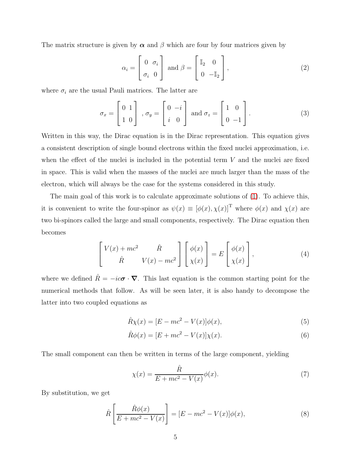The matrix structure is given by  $\alpha$  and  $\beta$  which are four by four matrices given by

$$
\alpha_i = \begin{bmatrix} 0 & \sigma_i \\ \sigma_i & 0 \end{bmatrix} \text{ and } \beta = \begin{bmatrix} \mathbb{I}_2 & 0 \\ 0 & -\mathbb{I}_2 \end{bmatrix},
$$
 (2)

where  $\sigma_i$  are the usual Pauli matrices. The latter are

$$
\sigma_x = \begin{bmatrix} 0 & 1 \\ 1 & 0 \end{bmatrix}, \sigma_y = \begin{bmatrix} 0 & -i \\ i & 0 \end{bmatrix} \text{ and } \sigma_z = \begin{bmatrix} 1 & 0 \\ 0 & -1 \end{bmatrix}.
$$
 (3)

Written in this way, the Dirac equation is in the Dirac representation. This equation gives a consistent description of single bound electrons within the fixed nuclei approximation, i.e. when the effect of the nuclei is included in the potential term  $V$  and the nuclei are fixed in space. This is valid when the masses of the nuclei are much larger than the mass of the electron, which will always be the case for the systems considered in this study.

The main goal of this work is to calculate approximate solutions of [\(1\)](#page-3-1). To achieve this, it is convenient to write the four-spinor as  $\psi(x) \equiv [\phi(x), \chi(x)]^{\mathrm{T}}$  where  $\phi(x)$  and  $\chi(x)$  are two bi-spinors called the large and small components, respectively. The Dirac equation then becomes

<span id="page-4-2"></span>
$$
\begin{bmatrix}\nV(x) + mc^2 & \hat{R} \\
\hat{R} & V(x) - mc^2\n\end{bmatrix}\n\begin{bmatrix}\n\phi(x) \\
\chi(x)\n\end{bmatrix} = E\begin{bmatrix}\n\phi(x) \\
\chi(x)\n\end{bmatrix},
$$
\n(4)

where we defined  $\hat{R} = -ic\sigma \cdot \nabla$ . This last equation is the common starting point for the numerical methods that follow. As will be seen later, it is also handy to decompose the latter into two coupled equations as

$$
\hat{R}\chi(x) = [E - mc^2 - V(x)]\phi(x),
$$
\n(5)

$$
\hat{R}\phi(x) = [E + mc^2 - V(x)]\chi(x).
$$
 (6)

The small component can then be written in terms of the large component, yielding

<span id="page-4-0"></span>
$$
\chi(x) = \frac{\hat{R}}{E + mc^2 - V(x)} \phi(x). \tag{7}
$$

By substitution, we get

<span id="page-4-1"></span>
$$
\hat{R}\left[\frac{\hat{R}\phi(x)}{E + mc^2 - V(x)}\right] = [E - mc^2 - V(x)]\phi(x),\tag{8}
$$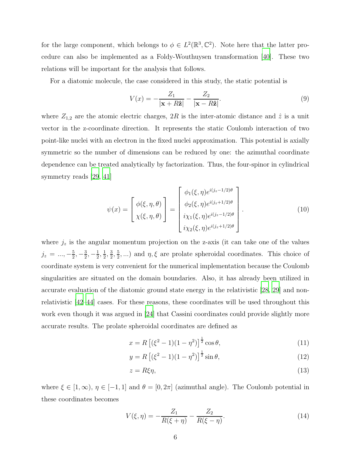for the large component, which belongs to  $\phi \in L^2(\mathbb{R}^3, \mathbb{C}^2)$ . Note here that the latter procedure can also be implemented as a Foldy-Wouthuysen transformation [\[40](#page-30-2)]. These two relations will be important for the analysis that follows.

For a diatomic molecule, the case considered in this study, the static potential is

<span id="page-5-0"></span>
$$
V(x) = -\frac{Z_1}{|\mathbf{x} + R\hat{\mathbf{z}}|} - \frac{Z_2}{|\mathbf{x} - R\hat{\mathbf{z}}|}.
$$
\n(9)

where  $Z_{1,2}$  are the atomic electric charges,  $2R$  is the inter-atomic distance and  $\hat{z}$  is a unit vector in the z-coordinate direction. It represents the static Coulomb interaction of two point-like nuclei with an electron in the fixed nuclei approximation. This potential is axially symmetric so the number of dimensions can be reduced by one: the azimuthal coordinate dependence can be treated analytically by factorization. Thus, the four-spinor in cylindrical symmetry reads [\[29](#page-29-7), [41](#page-30-3)]

<span id="page-5-1"></span>
$$
\psi(x) = \begin{bmatrix} \phi(\xi, \eta, \theta) \\ \chi(\xi, \eta, \theta) \end{bmatrix} = \begin{bmatrix} \phi_1(\xi, \eta) e^{i(j_z - 1/2)\theta} \\ \phi_2(\xi, \eta) e^{i(j_z + 1/2)\theta} \\ i\chi_1(\xi, \eta) e^{i(j_z - 1/2)\theta} \\ i\chi_2(\xi, \eta) e^{i(j_z + 1/2)\theta} \end{bmatrix}.
$$
\n(10)

where  $j_z$  is the angular momentum projection on the z-axis (it can take one of the values  $j_z = ..., -\frac{5}{2}$  $\frac{5}{2}, -\frac{3}{2}$  $\frac{3}{2}, -\frac{1}{2}$  $\frac{1}{2}$ ,  $\frac{1}{2}$  $\frac{1}{2}$ ,  $\frac{3}{2}$  $\frac{3}{2}$ ,  $\frac{5}{2}$  $(\frac{5}{2}, \ldots)$  and  $\eta, \xi$  are prolate spheroidal coordinates. This choice of coordinate system is very convenient for the numerical implementation because the Coulomb singularities are situated on the domain boundaries. Also, it has already been utilized in accurate evaluation of the diatomic ground state energy in the relativistic [\[28](#page-29-14), [29\]](#page-29-7) and nonrelativistic [\[42](#page-30-4)[–44](#page-30-5)] cases. For these reasons, these coordinates will be used throughout this work even though it was argued in [\[24](#page-29-5)] that Cassini coordinates could provide slightly more accurate results. The prolate spheroidal coordinates are defined as

$$
x = R\left[ (\xi^2 - 1)(1 - \eta^2) \right]^{\frac{1}{2}} \cos \theta, \tag{11}
$$

$$
y = R\left[ (\xi^2 - 1)(1 - \eta^2) \right]^{\frac{1}{2}} \sin \theta, \tag{12}
$$

$$
z = R\xi\eta,\tag{13}
$$

where  $\xi \in [1, \infty)$ ,  $\eta \in [-1, 1]$  and  $\theta = [0, 2\pi]$  (azimuthal angle). The Coulomb potential in these coordinates becomes

$$
V(\xi, \eta) = -\frac{Z_1}{R(\xi + \eta)} - \frac{Z_2}{R(\xi - \eta)}.
$$
\n(14)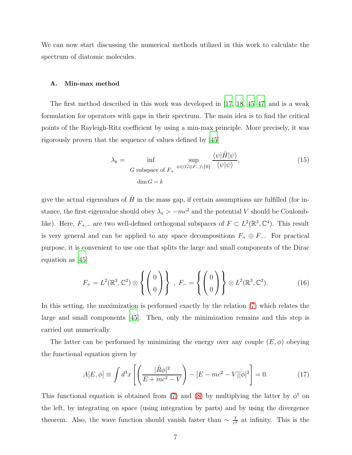We can now start discussing the numerical methods utilized in this work to calculate the spectrum of diatomic molecules.

# A. Min-max method

The first method described in this work was developed in [\[17,](#page-29-1) [18](#page-29-2), [45](#page-30-6)[–47\]](#page-30-7) and is a weak formulation for operators with gaps in their spectrum. The main idea is to find the critical points of the Rayleigh-Ritz coefficient by using a min-max principle. More precisely, it was rigorously proven that the sequence of values defined by [\[45](#page-30-6)]

$$
\lambda_k = \inf_{\substack{G \text{ subspace of } F_+ \\ \dim G = k}} \sup_{\psi \in (G \oplus F_-) \setminus \{0\}} \frac{\langle \psi | \hat{H} | \psi \rangle}{\langle \psi | \psi \rangle},
$$
(15)

give the actual eigenvalues of  $\hat{H}$  in the mass gap, if certain assumptions are fulfilled (for instance, the first eigenvalue should obey  $\lambda_1 > -mc^2$  and the potential V should be Coulomblike). Here,  $F_{+,-}$  are two well-defined orthogonal subspaces of  $F \subset L^2(\mathbb{R}^3, \mathbb{C}^4)$ . This result is very general and can be applied to any space decompositions  $F_+ \oplus F_-.$  For practical purpose, it is convenient to use one that splits the large and small components of the Dirac equation as [\[45](#page-30-6)]

$$
F_{+} = L^{2}(\mathbb{R}^{3}, \mathbb{C}^{2}) \otimes \left\{ \begin{pmatrix} 0 \\ 0 \end{pmatrix} \right\}, F_{-} = \left\{ \begin{pmatrix} 0 \\ 0 \end{pmatrix} \right\} \otimes L^{2}(\mathbb{R}^{3}, \mathbb{C}^{2}).
$$
 (16)

In this setting, the maximization is performed exactly by the relation [\(7\)](#page-4-0) which relates the large and small components [\[45\]](#page-30-6). Then, only the minimization remains and this step is carried out numerically.

The latter can be performed by minimizing the energy over any couple  $(E, \phi)$  obeying the functional equation given by

<span id="page-6-0"></span>
$$
A[E,\phi] \equiv \int d^3x \left[ \left( \frac{|\hat{R}\phi|^2}{E + mc^2 - V} \right) - [E - mc^2 - V] |\phi|^2 \right] = 0. \tag{17}
$$

This functional equation is obtained from [\(7\)](#page-4-0) and [\(8\)](#page-4-1) by multiplying the latter by  $\phi^{\dagger}$  on the left, by integrating on space (using integration by parts) and by using the divergence theorem. Also, the wave function should vanish faster than  $\sim \frac{1}{r^2}$  $\frac{1}{r^2}$  at infinity. This is the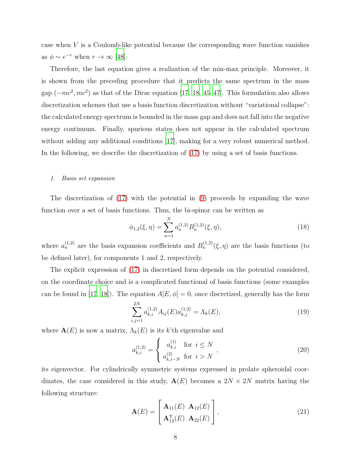case when V is a Coulomb-like potential because the corresponding wave function vanishes as  $\phi \sim e^{-r}$  when  $r \to \infty$  [\[48](#page-30-8)].

Therefore, the last equation gives a realization of the min-max principle. Moreover, it is shown from the preceding procedure that it predicts the same spectrum in the mass gap  $(-mc^2, mc^2)$  as that of the Dirac equation [\[17,](#page-29-1) [18,](#page-29-2) [45](#page-30-6)[–47\]](#page-30-7). This formulation also allows discretization schemes that use a basis function discretization without "variational collapse": the calculated energy spectrum is bounded in the mass gap and does not fall into the negative energy continuum. Finally, spurious states does not appear in the calculated spectrum without adding any additional conditions [\[17\]](#page-29-1), making for a very robust numerical method. In the following, we describe the discretization of [\(17\)](#page-6-0) by using a set of basis functions.

# 1. Basis set expansion

The discretization of [\(17\)](#page-6-0) with the potential in [\(9\)](#page-5-0) proceeds by expanding the wave function over a set of basis functions. Thus, the bi-spinor can be written as

$$
\phi_{1,2}(\xi,\eta) = \sum_{n=1}^{N} a_n^{(1,2)} B_n^{(1,2)}(\xi,\eta),\tag{18}
$$

where  $a_n^{(1,2)}$  are the basis expansion coefficients and  $B_n^{(1,2)}(\xi,\eta)$  are the basis functions (to be defined later), for components 1 and 2, respectively.

The explicit expression of [\(17\)](#page-6-0) in discretized form depends on the potential considered, on the coordinate choice and is a complicated functional of basis functions (some examples can be found in [\[17,](#page-29-1) [18\]](#page-29-2)). The equation  $A[E, \phi] = 0$ , once discretized, generally has the form

<span id="page-7-0"></span>
$$
\sum_{i,j=1}^{2N} a_{k,i}^{(1,2)} A_{ij}(E) a_{k,j}^{(1,2)} = \Lambda_k(E), \tag{19}
$$

where  $\mathbf{A}(E)$  is now a matrix,  $\Lambda_k(E)$  is its k'th eigenvalue and

$$
a_{k,i}^{(1,2)} = \begin{cases} a_{k,i}^{(1)} & \text{for } i \le N \\ a_{k,i-N}^{(2)} & \text{for } i > N \end{cases},
$$
 (20)

its eigenvector. For cylindrically symmetric systems expressed in prolate spheroidal coordinates, the case considered in this study,  $A(E)$  becomes a  $2N \times 2N$  matrix having the following structure:

$$
\mathbf{A}(E) = \begin{bmatrix} \mathbf{A}_{11}(E) & \mathbf{A}_{12}(E) \\ \mathbf{A}_{12}^{\mathrm{T}}(E) & \mathbf{A}_{22}(E) \end{bmatrix},
$$
\n(21)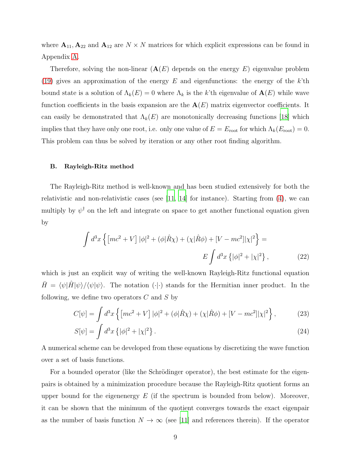where  $\mathbf{A}_{11}, \mathbf{A}_{22}$  and  $\mathbf{A}_{12}$  are  $N \times N$  matrices for which explicit expressions can be found in Appendix [A.](#page-24-0)

Therefore, solving the non-linear  $(A(E)$  depends on the energy E) eigenvalue problem [\(19\)](#page-7-0) gives an approximation of the energy E and eigenfunctions: the energy of the k'th bound state is a solution of  $\Lambda_k(E) = 0$  where  $\Lambda_k$  is the k'th eigenvalue of  $\mathbf{A}(E)$  while wave function coefficients in the basis expansion are the  $A(E)$  matrix eigenvector coefficients. It can easily be demonstrated that  $\Lambda_k(E)$  are monotonically decreasing functions [\[18\]](#page-29-2) which implies that they have only one root, i.e. only one value of  $E = E_{\text{root}}$  for which  $\Lambda_k(E_{\text{root}}) = 0$ . This problem can thus be solved by iteration or any other root finding algorithm.

#### B. Rayleigh-Ritz method

The Rayleigh-Ritz method is well-known and has been studied extensively for both the relativistic and non-relativistic cases (see  $[11, 14]$  $[11, 14]$  $[11, 14]$  for instance). Starting from  $(4)$ , we can multiply by  $\psi^{\dagger}$  on the left and integrate on space to get another functional equation given by

<span id="page-8-0"></span>
$$
\int d^3x \left\{ \left[ mc^2 + V \right] |\phi|^2 + (\phi |\hat{R}\chi) + (\chi |\hat{R}\phi) + [V - mc^2] |\chi|^2 \right\} =
$$
  

$$
E \int d^3x \left\{ |\phi|^2 + |\chi|^2 \right\},
$$
 (22)

which is just an explicit way of writing the well-known Rayleigh-Ritz functional equation  $\bar{H} = \langle \psi | \hat{H} | \psi \rangle / \langle \psi | \psi \rangle$ . The notation (·|·) stands for the Hermitian inner product. In the following, we define two operators  $C$  and  $S$  by

$$
C[\psi] = \int d^3x \left\{ \left[ mc^2 + V \right] |\phi|^2 + (\phi|\hat{R}\chi) + (\chi|\hat{R}\phi) + [V - mc^2] |\chi|^2 \right\},\tag{23}
$$

$$
S[\psi] = \int d^3x \left\{ |\phi|^2 + |\chi|^2 \right\}.
$$
 (24)

A numerical scheme can be developed from these equations by discretizing the wave function over a set of basis functions.

For a bounded operator (like the Schrödinger operator), the best estimate for the eigenpairs is obtained by a minimization procedure because the Rayleigh-Ritz quotient forms an upper bound for the eigenenergy  $E$  (if the spectrum is bounded from below). Moreover, it can be shown that the minimum of the quotient converges towards the exact eigenpair as the number of basis function  $N \to \infty$  (see [\[11\]](#page-28-4) and references therein). If the operator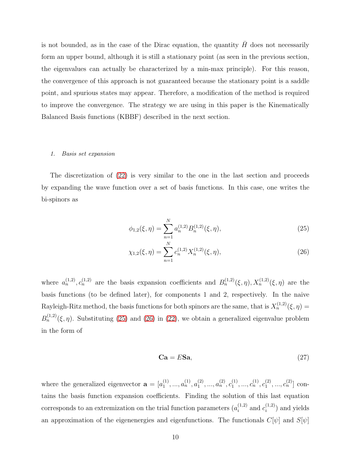is not bounded, as in the case of the Dirac equation, the quantity  $\bar{H}$  does not necessarily form an upper bound, although it is still a stationary point (as seen in the previous section, the eigenvalues can actually be characterized by a min-max principle). For this reason, the convergence of this approach is not guaranteed because the stationary point is a saddle point, and spurious states may appear. Therefore, a modification of the method is required to improve the convergence. The strategy we are using in this paper is the Kinematically Balanced Basis functions (KBBF) described in the next section.

# 1. Basis set expansion

The discretization of [\(22\)](#page-8-0) is very similar to the one in the last section and proceeds by expanding the wave function over a set of basis functions. In this case, one writes the bi-spinors as

<span id="page-9-0"></span>
$$
\phi_{1,2}(\xi,\eta) = \sum_{n=1}^{N} a_n^{(1,2)} B_n^{(1,2)}(\xi,\eta),\tag{25}
$$

$$
\chi_{1,2}(\xi,\eta) = \sum_{n=1}^{N} c_n^{(1,2)} X_n^{(1,2)}(\xi,\eta),\tag{26}
$$

where  $a_n^{(1,2)}, c_n^{(1,2)}$  are the basis expansion coefficients and  $B_n^{(1,2)}(\xi, \eta), X_n^{(1,2)}(\xi, \eta)$  are the basis functions (to be defined later), for components 1 and 2, respectively. In the naive Rayleigh-Ritz method, the basis functions for both spinors are the same, that is  $X_n^{(1,2)}(\xi,\eta) =$  $B<sub>n</sub><sup>(1,2)</sup>(\xi, \eta)$ . Substituting [\(25\)](#page-9-0) and [\(26\)](#page-9-0) in [\(22\)](#page-8-0), we obtain a generalized eigenvalue problem in the form of

<span id="page-9-1"></span>
$$
Ca = ESa,\t(27)
$$

where the generalized eigenvector  $\mathbf{a} = [a_1^{(1)}]$  $a_1^{(1)},...,a_n^{(1)},a_1^{(2)}$  $a_1^{(2)},...,a_n^{(2)},c_1^{(1)}$  $c_1^{(1)},...,c_n^{(1)},c_1^{(2)}$  $\binom{2}{1}, \ldots, c_n^{(2)}$ ] contains the basis function expansion coefficients. Finding the solution of this last equation corresponds to an extremization on the trial function parameters  $(a_i^{(1,2)})$  $i^{(1,2)}$  and  $c_i^{(1,2)}$  $i^{(1,2)}$  and yields an approximation of the eigenenergies and eigenfunctions. The functionals  $C[\psi]$  and  $S[\psi]$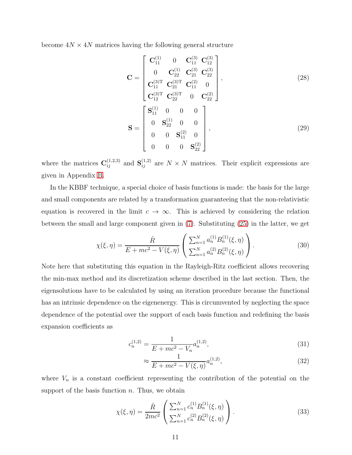become  $4N \times 4N$  matrices having the following general structure

$$
\mathbf{C} = \begin{bmatrix} \mathbf{C}_{11}^{(1)} & 0 & \mathbf{C}_{11}^{(3)} & \mathbf{C}_{12}^{(3)} \\ 0 & \mathbf{C}_{22}^{(1)} & \mathbf{C}_{21}^{(3)} & \mathbf{C}_{22}^{(3)} \\ \mathbf{C}_{11}^{(3)T} & \mathbf{C}_{21}^{(3)T} & \mathbf{C}_{11}^{(2)} & 0 \\ \mathbf{C}_{12}^{(3)T} & \mathbf{C}_{22}^{(3)T} & 0 & \mathbf{C}_{22}^{(2)} \end{bmatrix},
$$
\n
$$
\mathbf{S} = \begin{bmatrix} \mathbf{S}_{11}^{(1)} & 0 & 0 & 0 \\ 0 & \mathbf{S}_{22}^{(1)} & 0 & 0 \\ 0 & 0 & \mathbf{S}_{11}^{(2)} & 0 \\ 0 & 0 & 0 & \mathbf{S}_{22}^{(2)} \end{bmatrix},
$$
\n(29)

where the matrices  $\mathbf{C}_{ij}^{(1,2,3)}$  and  $\mathbf{S}_{ij}^{(1,2)}$  are  $N \times N$  matrices. Their explicit expressions are given in Appendix [B.](#page-25-0)

In the KBBF technique, a special choice of basis functions is made: the basis for the large and small components are related by a transformation guaranteeing that the non-relativistic equation is recovered in the limit  $c \to \infty$ . This is achieved by considering the relation between the small and large component given in [\(7\)](#page-4-0). Substituting [\(25\)](#page-9-0) in the latter, we get

$$
\chi(\xi,\eta) = \frac{\hat{R}}{E + mc^2 - V(\xi,\eta)} \left( \frac{\sum_{n=1}^N a_n^{(1)} B_n^{(1)}(\xi,\eta)}{\sum_{n=1}^N a_n^{(2)} B_n^{(2)}(\xi,\eta)} \right).
$$
(30)

Note here that substituting this equation in the Rayleigh-Ritz coefficient allows recovering the min-max method and its discretization scheme described in the last section. Then, the eigensolutions have to be calculated by using an iteration procedure because the functional has an intrinsic dependence on the eigenenergy. This is circumvented by neglecting the space dependence of the potential over the support of each basis function and redefining the basis expansion coefficients as

$$
c_n^{(1,2)} = \frac{1}{E + mc^2 - V_n} a_n^{(1,2)},\tag{31}
$$

$$
\approx \frac{1}{E + mc^2 - V(\xi, \eta)} a_n^{(1,2)},\tag{32}
$$

where  $V_n$  is a constant coefficient representing the contribution of the potential on the support of the basis function  $n$ . Thus, we obtain

<span id="page-10-0"></span>
$$
\chi(\xi,\eta) = \frac{\hat{R}}{2mc^2} \left( \frac{\sum_{n=1}^{N} c_n^{(1)} B_n^{(1)}(\xi,\eta)}{\sum_{n=1}^{N} c_n^{(2)} B_n^{(2)}(\xi,\eta)} \right).
$$
(33)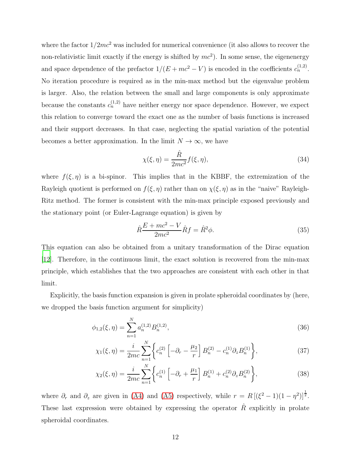where the factor  $1/2mc^2$  was included for numerical convenience (it also allows to recover the non-relativistic limit exactly if the energy is shifted by  $mc^2$ ). In some sense, the eigenenergy and space dependence of the prefactor  $1/(E + mc^2 - V)$  is encoded in the coefficients  $c_n^{(1,2)}$ . No iteration procedure is required as in the min-max method but the eigenvalue problem is larger. Also, the relation between the small and large components is only approximate because the constants  $c_n^{(1,2)}$  have neither energy nor space dependence. However, we expect this relation to converge toward the exact one as the number of basis functions is increased and their support decreases. In that case, neglecting the spatial variation of the potential becomes a better approximation. In the limit  $N \to \infty$ , we have

$$
\chi(\xi,\eta) = \frac{\hat{R}}{2mc^2}f(\xi,\eta),\tag{34}
$$

where  $f(\xi, \eta)$  is a bi-spinor. This implies that in the KBBF, the extremization of the Rayleigh quotient is performed on  $f(\xi, \eta)$  rather than on  $\chi(\xi, \eta)$  as in the "naive" Rayleigh-Ritz method. The former is consistent with the min-max principle exposed previously and the stationary point (or Euler-Lagrange equation) is given by

$$
\hat{R}\frac{E + mc^2 - V}{2mc^2}\hat{R}f = \hat{R}^2\phi.
$$
\n(35)

This equation can also be obtained from a unitary transformation of the Dirac equation [\[12\]](#page-28-3). Therefore, in the continuous limit, the exact solution is recovered from the min-max principle, which establishes that the two approaches are consistent with each other in that limit.

Explicitly, the basis function expansion is given in prolate spheroidal coordinates by (here, we dropped the basis function argument for simplicity)

<span id="page-11-0"></span>
$$
\phi_{1,2}(\xi,\eta) = \sum_{n=1}^{N} a_n^{(1,2)} B_n^{(1,2)},\tag{36}
$$

$$
\chi_1(\xi,\eta) = \frac{i}{2mc} \sum_{n=1}^{N} \left\{ c_n^{(2)} \left[ -\partial_r - \frac{\mu_2}{r} \right] B_n^{(2)} - c_n^{(1)} \partial_z B_n^{(1)} \right\},\tag{37}
$$

$$
\chi_2(\xi,\eta) = \frac{i}{2mc} \sum_{n=1}^{N} \left\{ c_n^{(1)} \left[ -\partial_r + \frac{\mu_1}{r} \right] B_n^{(1)} + c_n^{(2)} \partial_z B_n^{(2)} \right\},\tag{38}
$$

where  $\partial_r$  and  $\partial_z$  are given in [\(A4\)](#page-25-1) and [\(A5\)](#page-25-1) respectively, while  $r = R[(\xi^2 - 1)(1 - \eta^2)]^{\frac{1}{2}}$ . These last expression were obtained by expressing the operator  $\hat{R}$  explicitly in prolate spheroidal coordinates.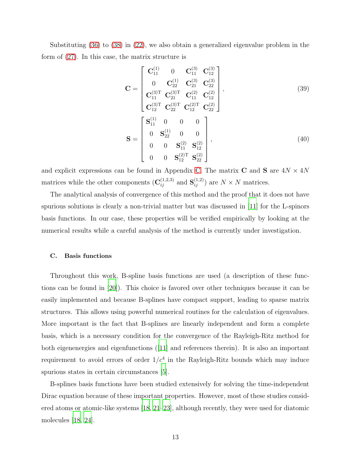Substituting [\(36\)](#page-11-0) to [\(38\)](#page-11-0) in [\(22\)](#page-8-0), we also obtain a generalized eigenvalue problem in the form of [\(27\)](#page-9-1). In this case, the matrix structure is

$$
\mathbf{C} = \begin{bmatrix} \mathbf{C}_{11}^{(1)} & 0 & \mathbf{C}_{11}^{(3)} & \mathbf{C}_{12}^{(3)} \\ 0 & \mathbf{C}_{22}^{(1)} & \mathbf{C}_{21}^{(3)} & \mathbf{C}_{22}^{(3)} \\ \mathbf{C}_{11}^{(3)T} & \mathbf{C}_{21}^{(3)T} & \mathbf{C}_{11}^{(2)} & \mathbf{C}_{12}^{(2)} \\ \mathbf{C}_{12}^{(3)T} & \mathbf{C}_{22}^{(3)T} & \mathbf{C}_{22}^{(2)T} & \mathbf{C}_{22}^{(2)} \end{bmatrix},
$$
\n
$$
\mathbf{S} = \begin{bmatrix} \mathbf{S}_{11}^{(1)} & 0 & 0 & 0 \\ 0 & \mathbf{S}_{22}^{(1)} & 0 & 0 \\ 0 & 0 & \mathbf{S}_{11}^{(2)} & \mathbf{S}_{12}^{(2)} \\ 0 & 0 & \mathbf{S}_{12}^{(2)T} & \mathbf{S}_{22}^{(2)} \end{bmatrix},
$$
\n(40)

and explicit expressions can be found in Appendix [C.](#page-26-0) The matrix C and S are  $4N \times 4N$ matrices while the other components  $(\mathbf{C}_{ij}^{(1,2,3)}$  and  $\mathbf{S}_{ij}^{(1,2)}$ ) are  $N \times N$  matrices.

The analytical analysis of convergence of this method and the proof that it does not have spurious solutions is clearly a non-trivial matter but was discussed in [\[11\]](#page-28-4) for the L-spinors basis functions. In our case, these properties will be verified empirically by looking at the numerical results while a careful analysis of the method is currently under investigation.

# C. Basis functions

Throughout this work, B-spline basis functions are used (a description of these functions can be found in [\[20](#page-29-3)]). This choice is favored over other techniques because it can be easily implemented and because B-splines have compact support, leading to sparse matrix structures. This allows using powerful numerical routines for the calculation of eigenvalues. More important is the fact that B-splines are linearly independent and form a complete basis, which is a necessary condition for the convergence of the Rayleigh-Ritz method for both eigenenergies and eigenfunctions ([\[11](#page-28-4)] and references therein). It is also an important requirement to avoid errors of order  $1/c<sup>4</sup>$  in the Rayleigh-Ritz bounds which may induce spurious states in certain circumstances [5].

B-splines basis functions have been studied extensively for solving the time-independent Dirac equation because of these important properties. However, most of these studies considered atoms or atomic-like systems [\[18](#page-29-2), [21](#page-29-4)[–23\]](#page-29-19), although recently, they were used for diatomic molecules [\[18,](#page-29-2) [24\]](#page-29-5).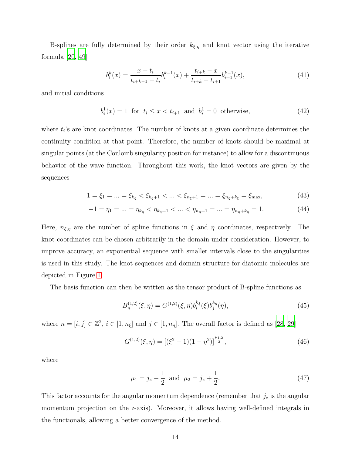B-splines are fully determined by their order  $k_{\xi,\eta}$  and knot vector using the iterative formula [\[20,](#page-29-3) [49\]](#page-30-9)

$$
b_i^k(x) = \frac{x - t_i}{t_{i+k-1} - t_i} b_i^{k-1}(x) + \frac{t_{i+k} - x}{t_{i+k} - t_{i+1}} b_{i+1}^{k-1}(x),\tag{41}
$$

and initial conditions

$$
b_i^1(x) = 1
$$
 for  $t_i \le x < t_{i+1}$  and  $b_i^1 = 0$  otherwise, (42)

where  $t_i$ 's are knot coordinates. The number of knots at a given coordinate determines the continuity condition at that point. Therefore, the number of knots should be maximal at singular points (at the Coulomb singularity position for instance) to allow for a discontinuous behavior of the wave function. Throughout this work, the knot vectors are given by the sequences

$$
1 = \xi_1 = \dots = \xi_{k_{\xi}} < \xi_{k_{\xi}+1} < \dots < \xi_{n_{\xi}+1} = \dots = \xi_{n_{\xi}+k_{\xi}} = \xi_{\text{max}},\tag{43}
$$

$$
-1 = \eta_1 = \dots = \eta_{k_{\eta}} < \eta_{k_{\eta}+1} < \dots < \eta_{n_{\eta}+1} = \dots = \eta_{n_{\eta}+k_{\eta}} = 1. \tag{44}
$$

Here,  $n_{\xi,\eta}$  are the number of spline functions in  $\xi$  and  $\eta$  coordinates, respectively. The knot coordinates can be chosen arbitrarily in the domain under consideration. However, to improve accuracy, an exponential sequence with smaller intervals close to the singularities is used in this study. The knot sequences and domain structure for diatomic molecules are depicted in Figure [1.](#page-14-0)

The basis function can then be written as the tensor product of B-spline functions as

<span id="page-13-0"></span>
$$
B_n^{(1,2)}(\xi,\eta) = G^{(1,2)}(\xi,\eta)b_i^{k_\xi}(\xi)b_j^{k_\eta}(\eta),\tag{45}
$$

where  $n = [i, j] \in \mathbb{Z}^2$ ,  $i \in [1, n_{\xi}]$  and  $j \in [1, n_{\eta}]$ . The overall factor is defined as [\[28](#page-29-14), [29](#page-29-7)]

$$
G^{(1,2)}(\xi,\eta) = \left[ (\xi^2 - 1)(1 - \eta^2) \right]^{\frac{\mu_{1,2}}{2}},\tag{46}
$$

where

$$
\mu_1 = j_z - \frac{1}{2}
$$
 and  $\mu_2 = j_z + \frac{1}{2}$ . (47)

This factor accounts for the angular momentum dependence (remember that  $j_z$  is the angular momentum projection on the z-axis). Moreover, it allows having well-defined integrals in the functionals, allowing a better convergence of the method.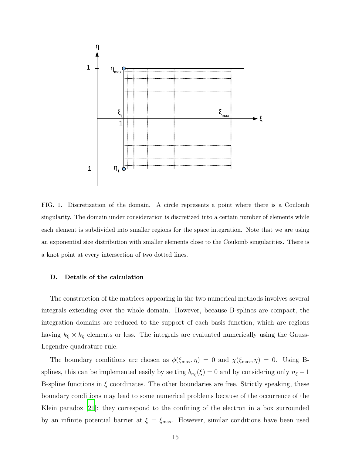

<span id="page-14-0"></span>FIG. 1. Discretization of the domain. A circle represents a point where there is a Coulomb singularity. The domain under consideration is discretized into a certain number of elements while each element is subdivided into smaller regions for the space integration. Note that we are using an exponential size distribution with smaller elements close to the Coulomb singularities. There is a knot point at every intersection of two dotted lines.

#### D. Details of the calculation

The construction of the matrices appearing in the two numerical methods involves several integrals extending over the whole domain. However, because B-splines are compact, the integration domains are reduced to the support of each basis function, which are regions having  $k_{\xi} \times k_{\eta}$  elements or less. The integrals are evaluated numerically using the Gauss-Legendre quadrature rule.

The boundary conditions are chosen as  $\phi(\xi_{\text{max}}, \eta) = 0$  and  $\chi(\xi_{\text{max}}, \eta) = 0$ . Using Bsplines, this can be implemented easily by setting  $b_{n_{\xi}}(\xi) = 0$  and by considering only  $n_{\xi} - 1$ B-spline functions in  $\xi$  coordinates. The other boundaries are free. Strictly speaking, these boundary conditions may lead to some numerical problems because of the occurrence of the Klein paradox [\[21\]](#page-29-4): they correspond to the confining of the electron in a box surrounded by an infinite potential barrier at  $\xi = \xi_{\text{max}}$ . However, similar conditions have been used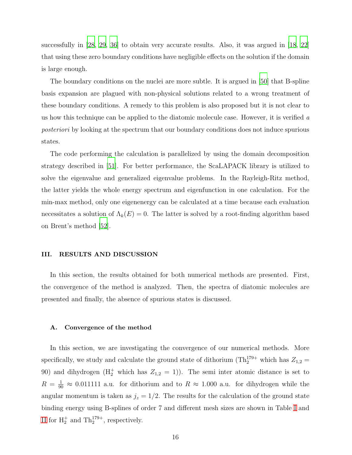successfully in [\[28,](#page-29-14) [29](#page-29-7), [36\]](#page-29-16) to obtain very accurate results. Also, it was argued in [\[18,](#page-29-2) [22\]](#page-29-20) that using these zero boundary conditions have negligible effects on the solution if the domain is large enough.

The boundary conditions on the nuclei are more subtle. It is argued in [\[50\]](#page-30-10) that B-spline basis expansion are plagued with non-physical solutions related to a wrong treatment of these boundary conditions. A remedy to this problem is also proposed but it is not clear to us how this technique can be applied to the diatomic molecule case. However, it is verified a posteriori by looking at the spectrum that our boundary conditions does not induce spurious states.

The code performing the calculation is parallelized by using the domain decomposition strategy described in [\[51\]](#page-30-11). For better performance, the ScaLAPACK library is utilized to solve the eigenvalue and generalized eigenvalue problems. In the Rayleigh-Ritz method, the latter yields the whole energy spectrum and eigenfunction in one calculation. For the min-max method, only one eigenenergy can be calculated at a time because each evaluation necessitates a solution of  $\Lambda_k(E) = 0$ . The latter is solved by a root-finding algorithm based on Brent's method [\[52](#page-30-12)].

#### <span id="page-15-0"></span>III. RESULTS AND DISCUSSION

In this section, the results obtained for both numerical methods are presented. First, the convergence of the method is analyzed. Then, the spectra of diatomic molecules are presented and finally, the absence of spurious states is discussed.

#### A. Convergence of the method

In this section, we are investigating the convergence of our numerical methods. More specifically, we study and calculate the ground state of dithorium  $(Th_2^{179+})$  which has  $Z_{1,2} =$ 90) and dihydrogen  $(H_2^+$  which has  $Z_{1,2} = 1)$ . The semi inter atomic distance is set to  $R = \frac{1}{90} \approx 0.011111$  a.u. for dithorium and to  $R \approx 1.000$  a.u. for dihydrogen while the angular momentum is taken as  $j_z = 1/2$ . The results for the calculation of the ground state binding energy using B-splines of order 7 and different mesh sizes are shown in Table [I](#page-17-0) and [II](#page-18-0) for  $H_2^+$  and  $Th_2^{179+}$ , respectively.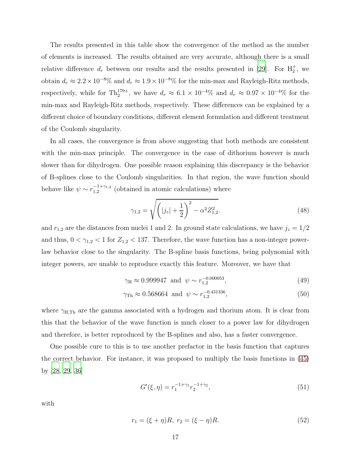The results presented in this table show the convergence of the method as the number of elements is increased. The results obtained are very accurate, although there is a small relative difference  $d_r$  between our results and the results presented in [\[29](#page-29-7)]. For  $H_2^+$ , we obtain  $d_r \approx 2.2 \times 10^{-8}\%$  and  $d_r \approx 1.9 \times 10^{-8}\%$  for the min-max and Rayleigh-Ritz methods, respectively, while for  $Th_2^{179+}$ , we have  $d_r \approx 6.1 \times 10^{-4}\%$  and  $d_r \approx 0.97 \times 10^{-4}\%$  for the min-max and Rayleigh-Ritz methods, respectively. These differences can be explained by a different choice of boundary conditions, different element formulation and different treatment of the Coulomb singularity.

In all cases, the convergence is from above suggesting that both methods are consistent with the min-max principle. The convergence in the case of dithorium however is much slower than for dihydrogen. One possible reason explaining this discrepancy is the behavior of B-splines close to the Coulomb singularities. In that region, the wave function should behave like  $\psi \sim r_{1,2}^{-1+\gamma_{1,2}}$  $\frac{-1+\gamma_{1,2}}{1,2}$  (obtained in atomic calculations) where

$$
\gamma_{1,2} = \sqrt{\left(|j_z| + \frac{1}{2}\right)^2 - \alpha^2 Z_{1,2}^2}.\tag{48}
$$

and  $r_{1,2}$  are the distances from nuclei 1 and 2. In ground state calculations, we have  $j_z = 1/2$ and thus,  $0 < \gamma_{1,2} < 1$  for  $Z_{1,2} < 137$ . Therefore, the wave function has a non-integer powerlaw behavior close to the singularity. The B-spline basis functions, being polynomial with integer powers, are unable to reproduce exactly this feature. Moreover, we have that

$$
\gamma_{\rm H} \approx 0.999947
$$
 and  $\psi \sim r_{1,2}^{-0.000053}$ , (49)

$$
\gamma_{\text{Th}} \approx 0.568664 \text{ and } \psi \sim r_{1,2}^{-0.431336},\tag{50}
$$

where  $\gamma_{\rm H, Th}$  are the gamma associated with a hydrogen and thorium atom. It is clear from this that the behavior of the wave function is much closer to a power law for dihydrogen and therefore, is better reproduced by the B-splines and also, has a faster convergence.

One possible cure to this is to use another prefactor in the basis function that captures the correct behavior. For instance, it was proposed to multiply the basis functions in [\(45\)](#page-13-0) by [\[28](#page-29-14), [29](#page-29-7), [36\]](#page-29-16)

$$
G'(\xi, \eta) = r_1^{-1+\gamma_1} r_2^{-1+\gamma_2},\tag{51}
$$

with

$$
r_1 = (\xi + \eta)R, \ r_2 = (\xi - \eta)R. \tag{52}
$$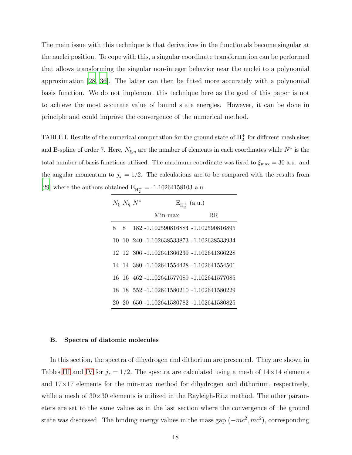The main issue with this technique is that derivatives in the functionals become singular at the nuclei position. To cope with this, a singular coordinate transformation can be performed that allows transforming the singular non-integer behavior near the nuclei to a polynomial approximation [\[28,](#page-29-14) [36\]](#page-29-16). The latter can then be fitted more accurately with a polynomial basis function. We do not implement this technique here as the goal of this paper is not to achieve the most accurate value of bound state energies. However, it can be done in principle and could improve the convergence of the numerical method.

<span id="page-17-0"></span>TABLE I. Results of the numerical computation for the ground state of  $H_2^+$  for different mesh sizes and B-spline of order 7. Here,  $N_{\xi,\eta}$  are the number of elements in each coordinates while  $N^*$  is the total number of basis functions utilized. The maximum coordinate was fixed to  $\xi_{\text{max}} = 30$  a.u. and the angular momentum to  $j_z = 1/2$ . The calculations are to be compared with the results from [\[29\]](#page-29-7) where the authors obtained  $E_{H_2^+} = -1.10264158103$  a.u..

| $N_{\xi} N_{\eta} N^*$ |   |  | $E_{H_2^+}$ (a.u.)                        |             |  |
|------------------------|---|--|-------------------------------------------|-------------|--|
|                        |   |  | Min-max                                   | $_{\rm RR}$ |  |
| 8                      | 8 |  | 182 -1.102590816884 -1.102590816895       |             |  |
|                        |   |  | 10 10 240 -1.102638533873 -1.102638533934 |             |  |
|                        |   |  | 12 12 306 -1.102641366239 -1.102641366228 |             |  |
|                        |   |  | 14 14 380 -1.102641554428 -1.102641554501 |             |  |
|                        |   |  | 16 16 462 -1.102641577089 -1.102641577085 |             |  |
|                        |   |  | 18 18 552 -1.102641580210 -1.102641580229 |             |  |
|                        |   |  | 20 20 650 -1.102641580782 -1.102641580825 |             |  |

## B. Spectra of diatomic molecules

In this section, the spectra of dihydrogen and dithorium are presented. They are shown in Tables [III](#page-20-0) and [IV](#page-21-0) for  $j_z = 1/2$ . The spectra are calculated using a mesh of  $14 \times 14$  elements and  $17\times17$  elements for the min-max method for dihydrogen and dithorium, respectively, while a mesh of  $30\times30$  elements is utilized in the Rayleigh-Ritz method. The other parameters are set to the same values as in the last section where the convergence of the ground state was discussed. The binding energy values in the mass gap  $(-mc^2, mc^2)$ , corresponding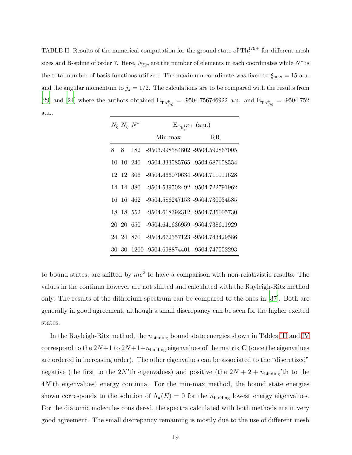<span id="page-18-0"></span>TABLE II. Results of the numerical computation for the ground state of  $\text{Th}_2^{179+}$  for different mesh sizes and B-spline of order 7. Here,  $N_{\xi,\eta}$  are the number of elements in each coordinates while  $N^*$  is the total number of basis functions utilized. The maximum coordinate was fixed to  $\xi_{\text{max}} = 15$  a.u. and the angular momentum to  $j_z = 1/2$ . The calculations are to be compared with the results from [\[29\]](#page-29-7) and [\[24\]](#page-29-5) where the authors obtained  $E_{Th_{179}^+} = -9504.756746922$  a.u. and  $E_{Th_{179}^+} = -9504.752$ a.u..

| $N_{\varepsilon} N_n N^*$ |   |  | $E_{Th_2^{179+}}$ (a.u.)                   |      |  |
|---------------------------|---|--|--------------------------------------------|------|--|
|                           |   |  | Min-max                                    | R.R. |  |
| 8                         | 8 |  | 182 -9503.998584802 -9504.592867005        |      |  |
|                           |   |  | 10 10 240 -9504.333585765 -9504.687658554  |      |  |
|                           |   |  | 12 12 306 -9504.466070634 -9504.711111628  |      |  |
|                           |   |  | 14 14 380 -9504.539502492 -9504.722791962  |      |  |
|                           |   |  | 16 16 462 -9504.586247153 -9504.730034585  |      |  |
|                           |   |  | 18 18 552 -9504.618392312 -9504.735005730  |      |  |
|                           |   |  | 20 20 650 -9504.641636959 -9504.738611929  |      |  |
|                           |   |  | 24 24 870 -9504.672557123 -9504.743429586  |      |  |
|                           |   |  | 30 30 1260 -9504.698874401 -9504.747552293 |      |  |

to bound states, are shifted by  $mc^2$  to have a comparison with non-relativistic results. The values in the continua however are not shifted and calculated with the Rayleigh-Ritz method only. The results of the dithorium spectrum can be compared to the ones in [\[37\]](#page-29-18). Both are generally in good agreement, although a small discrepancy can be seen for the higher excited states.

In the Rayleigh-Ritz method, the  $n_{\text{binding}}$  bound state energies shown in Tables [III](#page-20-0) and [IV](#page-21-0) correspond to the  $2N+1$  to  $2N+1+n_{\text{binding}}$  eigenvalues of the matrix C (once the eigenvalues are ordered in increasing order). The other eigenvalues can be associated to the "discretized" negative (the first to the 2N'th eigenvalues) and positive (the  $2N + 2 + n_{binding}$ 'th to the 4N'th eigenvalues) energy continua. For the min-max method, the bound state energies shown corresponds to the solution of  $\Lambda_k(E) = 0$  for the  $n_{binding}$  lowest energy eigenvalues. For the diatomic molecules considered, the spectra calculated with both methods are in very good agreement. The small discrepancy remaining is mostly due to the use of different mesh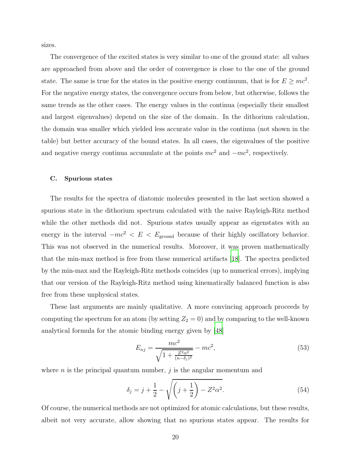sizes.

The convergence of the excited states is very similar to one of the ground state: all values are approached from above and the order of convergence is close to the one of the ground state. The same is true for the states in the positive energy continuum, that is for  $E \ge mc^2$ . For the negative energy states, the convergence occurs from below, but otherwise, follows the same trends as the other cases. The energy values in the continua (especially their smallest and largest eigenvalues) depend on the size of the domain. In the dithorium calculation, the domain was smaller which yielded less accurate value in the continua (not shown in the table) but better accuracy of the bound states. In all cases, the eigenvalues of the positive and negative energy continua accumulate at the points  $mc^2$  and  $-mc^2$ , respectively.

# C. Spurious states

The results for the spectra of diatomic molecules presented in the last section showed a spurious state in the dithorium spectrum calculated with the naive Rayleigh-Ritz method while the other methods did not. Spurious states usually appear as eigenstates with an energy in the interval  $-mc^2 < E < E$ <sub>ground</sub> because of their highly oscillatory behavior. This was not observed in the numerical results. Moreover, it was proven mathematically that the min-max method is free from these numerical artifacts [\[18\]](#page-29-2). The spectra predicted by the min-max and the Rayleigh-Ritz methods coincides (up to numerical errors), implying that our version of the Rayleigh-Ritz method using kinematically balanced function is also free from these unphysical states.

These last arguments are mainly qualitative. A more convincing approach proceeds by computing the spectrum for an atom (by setting  $Z_2 = 0$ ) and by comparing to the well-known analytical formula for the atomic binding energy given by [\[48\]](#page-30-8)

$$
E_{nj} = \frac{mc^2}{\sqrt{1 + \frac{Z^2 \alpha^2}{(n - \delta_j)^2}}} - mc^2,
$$
\n(53)

where  $n$  is the principal quantum number,  $j$  is the angular momentum and

$$
\delta_j = j + \frac{1}{2} - \sqrt{\left(j + \frac{1}{2}\right) - Z^2 \alpha^2}.
$$
\n(54)

Of course, the numerical methods are not optimized for atomic calculations, but these results, albeit not very accurate, allow showing that no spurious states appear. The results for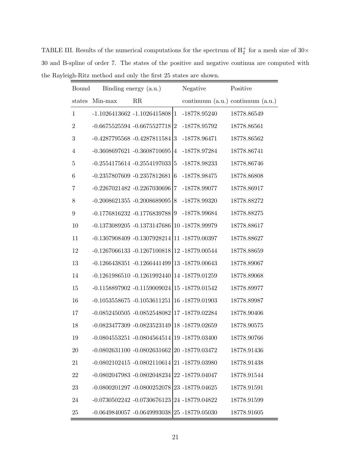TABLE III. Results of the numerical computations for the spectrum of  $H_2^+$  for a mesh size of  $30\times$ 30 and B-spline of order 7. The states of the positive and negative continua are computed with the Rayleigh-Ritz method and only the first 25 states are shown.

<span id="page-20-0"></span>

| Bound            |           | Binding energy (a.u.)                              |                  | Negative        | Positive                              |
|------------------|-----------|----------------------------------------------------|------------------|-----------------|---------------------------------------|
| states           | $Min-max$ | RR                                                 |                  |                 | continuum $(a.u.)$ continuum $(a.u.)$ |
| $\mathbf{1}$     |           | $-1.1026413662 -1.1026415808$                      | $\mathbf{1}$     | $-18778.95240$  | 18778.86549                           |
| $\boldsymbol{2}$ |           | $-0.6675525594 - 0.6675527718$                     | $\boldsymbol{2}$ | -18778.95792    | 18778.86561                           |
| 3                |           | $-0.4287795568 - 0.4287811584$                     | 3                | $-18778.96471$  | 18778.86562                           |
| 4                |           | $-0.3608697621 - 0.3608710695$                     | 4                | $-18778.97284$  | 18778.86741                           |
| 5                |           | $-0.2554175614 - 0.2554197033$                     | $\overline{5}$   | -18778.98233    | 18778.86746                           |
| 6                |           | -0.2357807609 -0.2357812681                        | 6                | -18778.98475    | 18778.86808                           |
| 7                |           | -0.2267021482 -0.2267030696                        | 7                | -18778.99077    | 18778.86917                           |
| 8                |           | $-0.2008621355 - 0.2008689095$                     | 8                | -18778.99320    | 18778.88272                           |
| 9                |           | -0.1776816232 -0.1776839788                        | $\boldsymbol{9}$ | -18778.99684    | 18778.88275                           |
| 10               |           | $-0.1373089205 -0.1373147686$                      |                  | 10-18778.99979  | 18778.88617                           |
| 11               |           | -0.1307908409 -0.1307928214                        |                  | 11 -18779.00397 | 18778.88627                           |
| 12               |           | $-0.1267066133 - 0.1267100818$                     |                  | 12 -18779.00544 | 18778.88659                           |
| 13               |           | $-0.1266438351 - 0.1266441499$                     |                  | 13-18779.00643  | 18778.89067                           |
| 14               |           | $-0.1261986510 - 0.1261992440$                     |                  | 14 -18779.01259 | 18778.89068                           |
| 15               |           | $-0.1158897902 -0.1159009024$                      |                  | 15-18779.01542  | 18778.89977                           |
| 16               |           | $-0.1053558675 - 0.1053611251$                     |                  | 16-18779.01903  | 18778.89987                           |
| 17               |           | $-0.0852450505 - 0.0852548082$                     |                  | 17-18779.02284  | 18778.90406                           |
| 18               |           | $-0.0823477309 - 0.0823523149$                     |                  | 18-18779.02659  | 18778.90575                           |
| 19               |           | $-0.0804553251 - 0.0804564514$   19 $-18779.03400$ |                  |                 | 18778.90766                           |
| 20               |           | $-0.0802631100 - 0.0802631662$                     |                  | 20 -18779.03472 | 18778.91436                           |
| 21               |           | $-0.0802102415 - 0.0802110614$                     |                  | 21-18779.03980  | 18778.91438                           |
| 22               |           | $-0.0802047983 - 0.0802048234$                     |                  | 22 -18779.04047 | 18778.91544                           |
| 23               |           | $-0.0800201297 - 0.0800252078$                     |                  | 23-18779.04625  | 18778.91591                           |
| 24               |           | $-0.0730502242 - 0.0730676123$                     |                  | 24 -18779.04822 | 18778.91599                           |
| 25               |           | $-0.0649840057 - 0.0649993038$                     |                  | 25-18779.05030  | 18778.91605                           |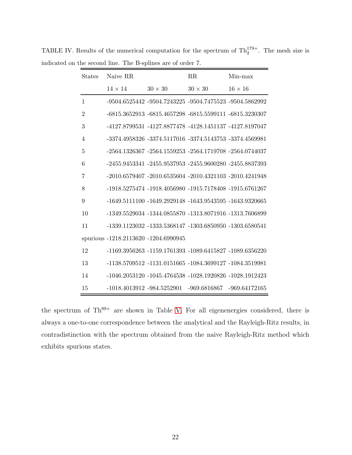<span id="page-21-0"></span>

| <b>States</b>  | Naive RR                             |                                                         | RR             | Min-max        |
|----------------|--------------------------------------|---------------------------------------------------------|----------------|----------------|
|                | $14 \times 14$                       | $30 \times 30$                                          | $30 \times 30$ | $16 \times 16$ |
| $\mathbf{1}$   |                                      | -9504.6525442 -9504.7243225 -9504.7475523 -9504.5862992 |                |                |
| $\overline{2}$ |                                      | -6815.3652913 -6815.4657298 -6815.5599111 -6815.3230307 |                |                |
| 3              |                                      | -4127.8799531 -4127.8877478 -4128.1451137 -4127.8197047 |                |                |
| $\overline{4}$ |                                      | -3374.4958326 -3374.5117016 -3374.5143753 -3374.4569981 |                |                |
| 5              |                                      | -2564.1326367 -2564.1559253 -2564.1719708 -2564.0744037 |                |                |
| 6              |                                      | -2455.9453341 -2455.9537953 -2455.9600280 -2455.8837393 |                |                |
| 7              |                                      | -2010.6579407 -2010.6535604 -2010.4321103 -2010.4241948 |                |                |
| 8              |                                      | -1918.5275474 -1918.4056980 -1915.7178408 -1915.6761267 |                |                |
| 9              |                                      | -1649.5111100 -1649.2929148 -1643.9543595 -1643.9320665 |                |                |
| 10             |                                      | -1349.5529034 -1344.0855870 -1313.8071916 -1313.7606899 |                |                |
| 11             |                                      | -1339.1123032 -1333.5368147 -1303.6850950 -1303.6580541 |                |                |
|                | spurious -1218.2113620 -1204.6990945 |                                                         |                |                |
| 12             |                                      | -1169.3956263 -1159.1761393 -1089.6415827 -1089.6356220 |                |                |
| 13             |                                      | -1138.5709512 -1131.0151665 -1084.3699127 -1084.3519981 |                |                |
| 14             |                                      | -1046.2053120 -1045.4764538 -1028.1920826 -1028.1912423 |                |                |
| 15             | $-1018.4013912 - 984.5252901$        |                                                         | -969.6816867   | -969.64172165  |

TABLE IV. Results of the numerical computation for the spectrum of  $\text{Th}_2^{179+}$ . The mesh size is indicated on the second line. The B-splines are of order 7.

the spectrum of  $Th^{89+}$  are shown in Table [V.](#page-22-0) For all eigenenergies considered, there is always a one-to-one correspondence between the analytical and the Rayleigh-Ritz results, in contradistinction with the spectrum obtained from the naive Rayleigh-Ritz method which exhibits spurious states.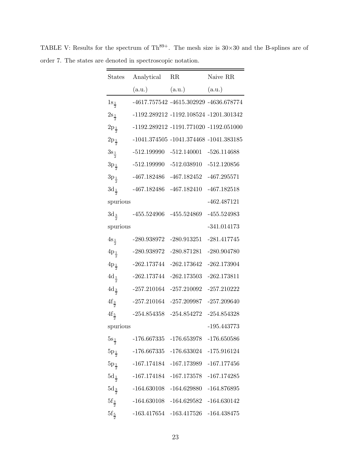| <b>States</b>      | Analytical    | $\rm RR$                               | Naive RR      |
|--------------------|---------------|----------------------------------------|---------------|
|                    | (a.u.)        | (a.u.)                                 | (a.u.)        |
| $1s_{\frac{1}{2}}$ |               | -4617.757542 -4615.302929 -4636.678774 |               |
| $2s_{\frac{1}{2}}$ |               | -1192.289212 -1192.108524 -1201.301342 |               |
| $2p_{\frac{1}{2}}$ |               | -1192.289212 -1191.771020 -1192.051000 |               |
| $2p_{\frac{1}{2}}$ |               | -1041.374505 -1041.374468 -1041.383185 |               |
| $3s_{\frac{1}{2}}$ | $-512.199990$ | $-512.140001$                          | $-526.114688$ |
| $3p_{\frac{1}{2}}$ | $-512.199990$ | $-512.038910$                          | $-512.120856$ |
| $3p_{\frac{1}{2}}$ | $-467.182486$ | -467.182452                            | $-467.295571$ |
| $3d_{\frac{1}{2}}$ | $-467.182486$ | $-467.182410$                          | $-467.182518$ |
| spurious           |               |                                        | $-462.487121$ |
| $3d_{\frac{3}{2}}$ | $-455.524906$ | $-455.524869$                          | $-455.524983$ |
| spurious           |               |                                        | $-341.014173$ |
| $4s_{\frac{1}{2}}$ | -280.938972   | $-280.913251$                          | $-281.417745$ |
| $4p_{\frac{1}{2}}$ | -280.938972   | $-280.871281$                          | $-280.904780$ |
| $4p_{\frac{1}{2}}$ | $-262.173744$ | $-262.173642$                          | $-262.173904$ |
| $4d_{\frac{1}{2}}$ | $-262.173744$ | $-262.173503$                          | $-262.173811$ |
| $4d_{\frac{3}{2}}$ | $-257.210164$ | $-257.210092$                          | $-257.210222$ |
| $4f_{\frac{3}{2}}$ | $-257.210164$ | $-257.209987$                          | $-257.209640$ |
| $4f_{\frac{5}{2}}$ | $-254.854358$ | $-254.854272$                          | $-254.854328$ |
| spurious           |               |                                        | $-195.443773$ |
| $5s_{\frac{1}{2}}$ | $-176.667335$ | $-176.653978$                          | $-176.650586$ |
| $5p_{\frac{1}{2}}$ | $-176.667335$ | $-176.633024$                          | $-175.916124$ |
| $5p_{\frac{1}{2}}$ | -167.174184   | $-167.173989$                          | $-167.177456$ |
| $5d_{\frac{1}{2}}$ | $-167.174184$ | $-167.173578$                          | $-167.174285$ |
| $5d_{\frac32}$     | $-164.630108$ | $-164.629880$                          | $-164.876895$ |
| $5f_{\frac{3}{2}}$ | $-164.630108$ | $-164.629582$                          | $-164.630142$ |
| $5f_{\frac{5}{2}}$ | $-163.417654$ | $-163.417526$                          | $-164.438475$ |

<span id="page-22-0"></span>TABLE V: Results for the spectrum of  $Th^{89+}$ . The mesh size is  $30\times30$  and the B-splines are of order 7. The states are denoted in spectroscopic notation.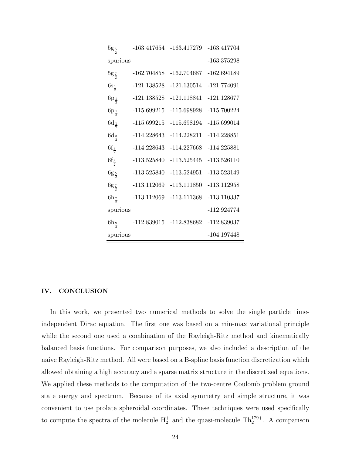| $5g_{\frac{5}{2}}$ | -163.417654   | $-163.417279$ | $-163.417704$ |
|--------------------|---------------|---------------|---------------|
| spurious           |               |               | $-163.375298$ |
| $5g_{\frac{7}{2}}$ | $-162.704858$ | $-162.704687$ | $-162.694189$ |
| $6s_{\frac{1}{2}}$ | $-121.138528$ | $-121.130514$ | $-121.774091$ |
| $6p_{\frac{1}{2}}$ | $-121.138528$ | $-121.118841$ | $-121.128677$ |
| $6p_{\frac{1}{2}}$ | $-115.699215$ | $-115.698928$ | $-115.700224$ |
| $6d_{\frac{1}{2}}$ | $-115.699215$ | $-115.698194$ | $-115.699014$ |
| $6d_{\frac{3}{2}}$ | $-114.228643$ | $-114.228211$ | $-114.228851$ |
| $6f_{\frac{3}{2}}$ | $-114.228643$ | $-114.227668$ | -114.225881   |
| $6f_{\frac{5}{2}}$ | $-113.525840$ | $-113.525445$ | $-113.526110$ |
| $6g_{\frac{5}{2}}$ | $-113.525840$ | $-113.524951$ | $-113.523149$ |
| $6g_7$             | $-113.112069$ | $-113.111850$ | $-113.112958$ |
| $6h_{\frac{7}{2}}$ | $-113.112069$ | $-113.111368$ | $-113.110337$ |
| spurious           |               |               | -112.924774   |
| $6h_{\frac{9}{2}}$ | $-112.839015$ | $-112.838682$ | $-112.839037$ |
| spurious           |               |               | -104.197448   |

# <span id="page-23-0"></span>IV. CONCLUSION

In this work, we presented two numerical methods to solve the single particle timeindependent Dirac equation. The first one was based on a min-max variational principle while the second one used a combination of the Rayleigh-Ritz method and kinematically balanced basis functions. For comparison purposes, we also included a description of the naive Rayleigh-Ritz method. All were based on a B-spline basis function discretization which allowed obtaining a high accuracy and a sparse matrix structure in the discretized equations. We applied these methods to the computation of the two-centre Coulomb problem ground state energy and spectrum. Because of its axial symmetry and simple structure, it was convenient to use prolate spheroidal coordinates. These techniques were used specifically to compute the spectra of the molecule  $H_2^+$  and the quasi-molecule  $Th_2^{179+}$ . A comparison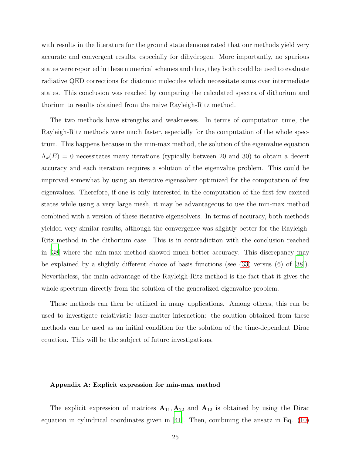with results in the literature for the ground state demonstrated that our methods yield very accurate and convergent results, especially for dihydrogen. More importantly, no spurious states were reported in these numerical schemes and thus, they both could be used to evaluate radiative QED corrections for diatomic molecules which necessitate sums over intermediate states. This conclusion was reached by comparing the calculated spectra of dithorium and thorium to results obtained from the naive Rayleigh-Ritz method.

The two methods have strengths and weaknesses. In terms of computation time, the Rayleigh-Ritz methods were much faster, especially for the computation of the whole spectrum. This happens because in the min-max method, the solution of the eigenvalue equation  $\Lambda_k(E) = 0$  necessitates many iterations (typically between 20 and 30) to obtain a decent accuracy and each iteration requires a solution of the eigenvalue problem. This could be improved somewhat by using an iterative eigensolver optimized for the computation of few eigenvalues. Therefore, if one is only interested in the computation of the first few excited states while using a very large mesh, it may be advantageous to use the min-max method combined with a version of these iterative eigensolvers. In terms of accuracy, both methods yielded very similar results, although the convergence was slightly better for the Rayleigh-Ritz method in the dithorium case. This is in contradiction with the conclusion reached in [\[38\]](#page-30-0) where the min-max method showed much better accuracy. This discrepancy may be explained by a slightly different choice of basis functions (see [\(33\)](#page-10-0) versus (6) of [\[38](#page-30-0)]). Nevertheless, the main advantage of the Rayleigh-Ritz method is the fact that it gives the whole spectrum directly from the solution of the generalized eigenvalue problem.

These methods can then be utilized in many applications. Among others, this can be used to investigate relativistic laser-matter interaction: the solution obtained from these methods can be used as an initial condition for the solution of the time-dependent Dirac equation. This will be the subject of future investigations.

# <span id="page-24-0"></span>Appendix A: Explicit expression for min-max method

The explicit expression of matrices  $A_{11}, A_{22}$  and  $A_{12}$  is obtained by using the Dirac equation in cylindrical coordinates given in [\[41\]](#page-30-3). Then, combining the ansatz in Eq. [\(10\)](#page-5-1)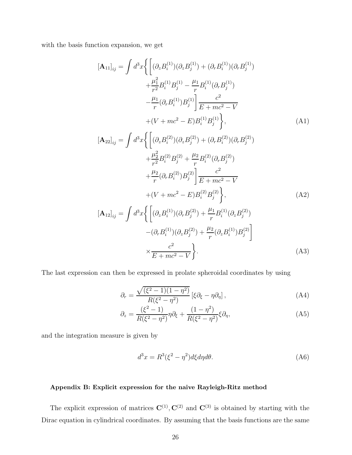with the basis function expansion, we get

$$
[\mathbf{A}_{11}]_{ij} = \int d^3x \left\{ \left[ (\partial_z B_i^{(1)})(\partial_z B_j^{(1)}) + (\partial_r B_i^{(1)})(\partial_r B_j^{(1)}) \right. \\ \left. + \frac{\mu_1^2}{r^2} B_i^{(1)} B_j^{(1)} - \frac{\mu_1}{r} B_i^{(1)}(\partial_r B_j^{(1)}) \right. \\ \left. - \frac{\mu_1}{r} (\partial_r B_i^{(1)}) B_j^{(1)} \right] \frac{c^2}{E + mc^2 - V} \\ \left. + (V + mc^2 - E) B_i^{(1)} B_j^{(1)} \right\}, \qquad (A1)
$$
\n
$$
[\mathbf{A}_{22}]_{ij} = \int d^3x \left\{ \left[ (\partial_z B_i^{(2)})(\partial_z B_j^{(2)}) + (\partial_r B_i^{(2)})(\partial_r B_j^{(2)}) \right. \\ \left. + \frac{\mu_2^2}{r^2} B_i^{(2)} B_j^{(2)} + \frac{\mu_2}{r} B_i^{(2)}(\partial_r B_j^{(2)}) \right. \\ \left. + \frac{\mu_2}{r} (\partial_r B_i^{(2)}) B_j^{(2)} \right] \frac{c^2}{E + mc^2 - V} \\ \left. + (V + mc^2 - E) B_i^{(2)} B_j^{(2)} \right\}, \qquad (A2)
$$
\n
$$
[\mathbf{A}_{12}]_{ij} = \int d^3x \left\{ \left[ (\partial_z B_i^{(1)})(\partial_r B_j^{(2)}) + \frac{\mu_1}{r} B_i^{(1)}(\partial_z B_j^{(2)}) \right. \\ \left. - (\partial_r B_i^{(1)})(\partial_z B_j^{(2)}) + \frac{\mu_2}{r} (\partial_z B_i^{(1)}) B_j^{(2)} \right] \right\}
$$

$$
\times \frac{c^2}{E + mc^2 - V} \bigg\}.
$$
 (A3)

The last expression can then be expressed in prolate spheroidal coordinates by using

<span id="page-25-1"></span>
$$
\partial_r = \frac{\sqrt{(\xi^2 - 1)(1 - \eta^2)}}{R(\xi^2 - \eta^2)} \left[\xi \partial_\xi - \eta \partial_\eta\right],\tag{A4}
$$

$$
\partial_z = \frac{(\xi^2 - 1)}{R(\xi^2 - \eta^2)} \eta \partial_\xi + \frac{(1 - \eta^2)}{R(\xi^2 - \eta^2)} \xi \partial_\eta, \tag{A5}
$$

and the integration measure is given by

<span id="page-25-2"></span>
$$
d^3x = R^3(\xi^2 - \eta^2)d\xi d\eta d\theta.
$$
 (A6)

# <span id="page-25-0"></span>Appendix B: Explicit expression for the naive Rayleigh-Ritz method

The explicit expression of matrices  $\mathbf{C}^{(1)}$ ,  $\mathbf{C}^{(2)}$  and  $\mathbf{C}^{(3)}$  is obtained by starting with the Dirac equation in cylindrical coordinates. By assuming that the basis functions are the same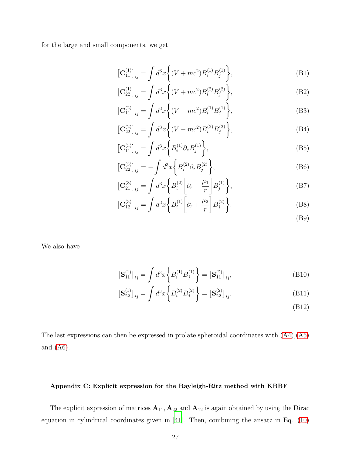for the large and small components, we get

$$
\left[\mathbf{C}_{11}^{(1)}\right]_{ij} = \int d^3x \bigg\{ (V + mc^2) B_i^{(1)} B_j^{(1)} \bigg\},\tag{B1}
$$

$$
\left[\mathbf{C}_{22}^{(1)}\right]_{ij} = \int d^3x \left\{ (V + mc^2) B_i^{(2)} B_j^{(2)} \right\},\tag{B2}
$$

$$
\left[\mathbf{C}_{11}^{(2)}\right]_{ij} = \int d^3x \bigg\{ (V - mc^2) B_i^{(1)} B_j^{(1)} \bigg\},\tag{B3}
$$

$$
\left[\mathbf{C}_{22}^{(2)}\right]_{ij} = \int d^3x \left\{ (V - mc^2) B_i^{(2)} B_j^{(2)} \right\},\tag{B4}
$$

$$
\left[\mathbf{C}_{11}^{(3)}\right]_{ij} = \int d^3x \left\{ B_i^{(1)} \partial_z B_j^{(1)} \right\},\tag{B5}
$$

$$
\left[\mathbf{C}_{22}^{(3)}\right]_{ij} = -\int d^3x \bigg\{ B_i^{(2)} \partial_z B_j^{(2)} \bigg\},\tag{B6}
$$

$$
\left[\mathbf{C}_{21}^{(3)}\right]_{ij} = \int d^3x \left\{ B_i^{(2)} \left[ \partial_r - \frac{\mu_1}{r} \right] B_j^{(1)} \right\},\tag{B7}
$$

$$
\left[\mathbf{C}_{12}^{(3)}\right]_{ij} = \int d^3x \left\{ B_i^{(1)} \left[ \partial_r + \frac{\mu_2}{r} \right] B_j^{(2)} \right\}.
$$
 (B8)

(B9)

We also have

$$
\left[\mathbf{S}_{11}^{(1)}\right]_{ij} = \int d^3x \left\{ B_i^{(1)} B_j^{(1)} \right\} = \left[\mathbf{S}_{11}^{(2)}\right]_{ij},\tag{B10}
$$

$$
\left[\mathbf{S}_{22}^{(1)}\right]_{ij} = \int d^3x \left\{ B_i^{(2)} B_j^{(2)} \right\} = \left[\mathbf{S}_{22}^{(2)}\right]_{ij}.
$$
 (B11)

(B12)

The last expressions can then be expressed in prolate spheroidal coordinates with [\(A4\)](#page-25-1),[\(A5\)](#page-25-1) and [\(A6\)](#page-25-2).

# <span id="page-26-0"></span>Appendix C: Explicit expression for the Rayleigh-Ritz method with KBBF

The explicit expression of matrices  $A_{11}$ ,  $A_{22}$  and  $A_{12}$  is again obtained by using the Dirac equation in cylindrical coordinates given in [\[41\]](#page-30-3). Then, combining the ansatz in Eq. [\(10\)](#page-5-1)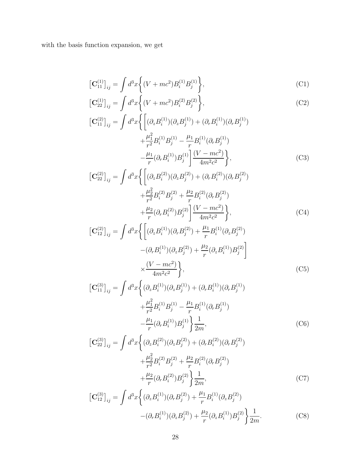with the basis function expansion, we get

$$
\left[\mathbf{C}_{11}^{(1)}\right]_{ij} = \int d^3x \bigg\{ (V + mc^2) B_i^{(1)} B_j^{(1)} \bigg\},\tag{C1}
$$

$$
\left[\mathbf{C}_{22}^{(1)}\right]_{ij} = \int d^3x \left\{ (V + mc^2) B_i^{(2)} B_j^{(2)} \right\},\tag{C2}
$$

$$
\begin{aligned}\n\left[\mathbf{C}_{11}^{(2)}\right]_{ij} &= \int d^3x \bigg\{ \bigg[ (\partial_z B_i^{(1)}) (\partial_z B_j^{(1)}) + (\partial_r B_i^{(1)}) (\partial_r B_j^{(1)}) \\
&\quad + \frac{\mu_1^2}{r^2} B_i^{(1)} B_j^{(1)} - \frac{\mu_1}{r} B_i^{(1)} (\partial_r B_j^{(1)}) \\
&\quad - \frac{\mu_1}{r} (\partial_r B_i^{(1)}) B_j^{(1)} \bigg] \frac{(V - mc^2)}{4m^2 c^2} \bigg\},\n\end{aligned} \tag{C3}
$$

$$
\begin{aligned}\n\left[\mathbf{C}_{22}^{(2)}\right]_{ij} &= \int d^3x \bigg\{ \bigg[ (\partial_z B_i^{(2)}) (\partial_z B_j^{(2)}) + (\partial_r B_i^{(2)}) (\partial_r B_j^{(2)}) \\
&\quad + \frac{\mu_2^2}{r^2} B_i^{(2)} B_j^{(2)} + \frac{\mu_2}{r} B_i^{(2)} (\partial_r B_j^{(2)}) \\
&\quad + \frac{\mu_2}{r} (\partial_r B_i^{(2)}) B_j^{(2)} \bigg] \frac{(V - mc^2)}{4m^2 c^2} \bigg\},\n\end{aligned} \tag{C4}
$$

$$
\begin{aligned}\n\left[\mathbf{C}_{12}^{(2)}\right]_{ij} &= \int d^3x \bigg\{ \bigg[ (\partial_z B_i^{(1)}) (\partial_r B_j^{(2)}) + \frac{\mu_1}{r} B_i^{(1)} (\partial_z B_j^{(2)}) \\
&\quad - (\partial_r B_i^{(1)}) (\partial_z B_j^{(2)}) + \frac{\mu_2}{r} (\partial_z B_i^{(1)}) B_j^{(2)} \bigg] \\
&\quad \times \frac{(V - mc^2)}{4m^2 c^2} \bigg\},\n\end{aligned} \tag{C5}
$$

$$
\begin{aligned}\n\left[\mathbf{C}_{11}^{(3)}\right]_{ij} &= \int d^3x \bigg\{ (\partial_z B_i^{(1)}) (\partial_z B_j^{(1)}) + (\partial_r B_i^{(1)}) (\partial_r B_j^{(1)}) \\
&\quad + \frac{\mu_1^2}{r^2} B_i^{(1)} B_j^{(1)} - \frac{\mu_1}{r} B_i^{(1)} (\partial_r B_j^{(1)}) \\
&\quad - \frac{\mu_1}{r} (\partial_r B_i^{(1)}) B_j^{(1)} \bigg\} \frac{1}{2m},\n\end{aligned} \tag{C6}
$$

$$
\begin{aligned}\n\left[\mathbf{C}_{22}^{(3)}\right]_{ij} &= \int d^3x \left\{ (\partial_z B_i^{(2)})(\partial_z B_j^{(2)}) + (\partial_r B_i^{(2)})(\partial_r B_j^{(2)}) + \frac{\mu_2^2}{r^2} B_i^{(2)} B_j^{(2)} + \frac{\mu_2}{r} B_i^{(2)} (\partial_r B_j^{(2)}) + \frac{\mu_2}{r} (\partial_r B_i^{(2)}) B_j^{(2)} \right\} \frac{1}{2m}.\n\end{aligned} \tag{C7}
$$

$$
\begin{aligned} \left[\mathbf{C}_{12}^{(3)}\right]_{ij} &= \int d^3x \bigg\{ (\partial_z B_i^{(1)}) (\partial_r B_j^{(2)}) + \frac{\mu_1}{r} B_i^{(1)} (\partial_z B_j^{(2)}) \\ &- (\partial_r B_i^{(1)}) (\partial_z B_j^{(2)}) + \frac{\mu_2}{r} (\partial_z B_i^{(1)}) B_j^{(2)} \bigg\} \frac{1}{2m}. \end{aligned} \tag{C8}
$$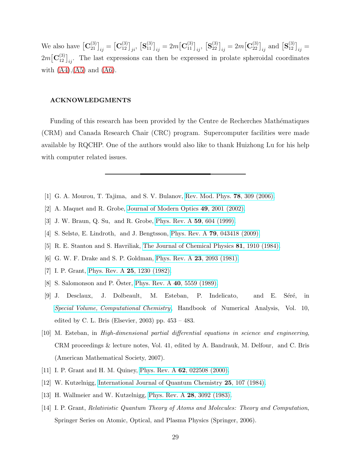We also have  $\left[\mathbf{C}_{21}^{(3)}\right]_{ij} = \left[\mathbf{C}_{12}^{(3)}\right]_{ji}$ ,  $\left[\mathbf{S}_{11}^{(3)}\right]_{ij} = 2m\left[\mathbf{C}_{11}^{(3)}\right]_{ij}$ ,  $\left[\mathbf{S}_{22}^{(3)}\right]_{ij} = 2m\left[\mathbf{C}_{22}^{(3)}\right]_{ij}$  and  $\left[\mathbf{S}_{12}^{(3)}\right]_{ij} =$  $2m[\mathbf{C}_{12}^{(3)}]_{ij}$ . The last expressions can then be expressed in prolate spheroidal coordinates with  $(A4)$ ,  $(A5)$  and  $(A6)$ .

# ACKNOWLEDGMENTS

Funding of this research has been provided by the Centre de Recherches Mathématiques (CRM) and Canada Research Chair (CRC) program. Supercomputer facilities were made available by RQCHP. One of the authors would also like to thank Huizhong Lu for his help with computer related issues.

- <span id="page-28-0"></span>[1] G. A. Mourou, T. Tajima, and S. V. Bulanov, [Rev. Mod. Phys.](http://dx.doi.org/10.1103/RevModPhys.78.309) 78, 309 (2006).
- [2] A. Maquet and R. Grobe, [Journal of Modern Optics](http://dx.doi.org/10.1080/09500340210140740) 49, 2001 (2002).
- [3] J. W. Braun, Q. Su, and R. Grobe, [Phys. Rev. A](http://dx.doi.org/10.1103/PhysRevA.59.604) 59, 604 (1999).
- <span id="page-28-1"></span>[4] S. Selstø, E. Lindroth, and J. Bengtsson, Phys. Rev. A 79[, 043418 \(2009\).](http://dx.doi.org/10.1103/PhysRevA.79.043418)
- [5] R. E. Stanton and S. Havriliak, [The Journal of Chemical Physics](http://dx.doi.org/10.1063/1.447865) 81, 1910 (1984).
- [6] G. W. F. Drake and S. P. Goldman, [Phys. Rev. A](http://dx.doi.org/10.1103/PhysRevA.23.2093) 23, 2093 (1981).
- [7] I. P. Grant, [Phys. Rev. A](http://dx.doi.org/10.1103/PhysRevA.25.1230) **25**, 1230 (1982).
- [8] S. Salomonson and P. Öster, [Phys. Rev. A](http://dx.doi.org/10.1103/PhysRevA.40.5559) 40, 5559 (1989).
- [9] J. Desclaux, J. Dolbeault, M. Esteban, P. Indelicato, and E. Séré, in [Special Volume, Computational Chemistry](http://dx.doi.org/ 10.1016/S1570-8659(03)10006-3), Handbook of Numerical Analysis, Vol. 10, edited by C. L. Bris (Elsevier, 2003) pp.  $453 - 483$ .
- [10] M. Esteban, in High-dimensional partial differential equations in science and engineering, CRM proceedings & lecture notes, Vol. 41, edited by A. Bandrauk, M. Delfour, and C. Bris (American Mathematical Society, 2007).
- <span id="page-28-4"></span>[11] I. P. Grant and H. M. Quiney, Phys. Rev. A **62**[, 022508 \(2000\).](http://dx.doi.org/10.1103/PhysRevA.62.022508)
- <span id="page-28-3"></span>[12] W. Kutzelnigg, [International Journal of Quantum Chemistry](http://dx.doi.org/10.1002/qua.560250112) 25, 107 (1984).
- [13] H. Wallmeier and W. Kutzelnigg, [Phys. Rev. A](http://dx.doi.org/10.1103/PhysRevA.28.3092) 28, 3092 (1983).
- <span id="page-28-2"></span>[14] I. P. Grant, Relativistic Quantum Theory of Atoms and Molecules: Theory and Computation, Springer Series on Atomic, Optical, and Plasma Physics (Springer, 2006).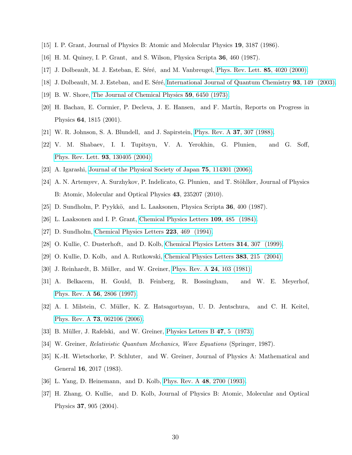- <span id="page-29-0"></span>[15] I. P. Grant, Journal of Physics B: Atomic and Molecular Physics 19, 3187 (1986).
- <span id="page-29-1"></span>[16] H. M. Quiney, I. P. Grant, and S. Wilson, Physica Scripta 36, 460 (1987).
- [17] J. Dolbeault, M. J. Esteban, E. Séré, and M. Vanbreugel, [Phys. Rev. Lett.](http://dx.doi.org/10.1103/PhysRevLett.85.4020) 85, 4020 (2000).
- <span id="page-29-2"></span>[18] J. Dolbeault, M. J. Esteban, and E. Séré, [International Journal of Quantum Chemistry](http://dx.doi.org/doi: 10.1002/qua.10549) 93, 149 (2003).
- <span id="page-29-3"></span>[19] B. W. Shore, [The Journal of Chemical Physics](http://dx.doi.org/10.1063/1.1680025) 59, 6450 (1973).
- [20] H. Bachau, E. Cormier, P. Decleva, J. E. Hansen, and F. Martín, Reports on Progress in Physics 64, 1815 (2001).
- <span id="page-29-20"></span><span id="page-29-4"></span>[21] W. R. Johnson, S. A. Blundell, and J. Sapirstein, [Phys. Rev. A](http://dx.doi.org/10.1103/PhysRevA.37.307) 37, 307 (1988).
- [22] V. M. Shabaev, I. I. Tupitsyn, V. A. Yerokhin, G. Plunien, and G. Soff, [Phys. Rev. Lett.](http://dx.doi.org/10.1103/PhysRevLett.93.130405) 93, 130405 (2004).
- <span id="page-29-19"></span><span id="page-29-5"></span>[23] A. Igarashi, [Journal of the Physical Society of Japan](http://dx.doi.org/10.1143/JPSJ.75.114301) 75, 114301 (2006).
- [24] A. N. Artemyev, A. Surzhykov, P. Indelicato, G. Plunien, and T. Stöhlker, Journal of Physics B: Atomic, Molecular and Optical Physics 43, 235207 (2010).
- <span id="page-29-13"></span><span id="page-29-6"></span>[25] D. Sundholm, P. Pyykkö, and L. Laaksonen, Physica Scripta 36, 400 (1987).
- <span id="page-29-17"></span>[26] L. Laaksonen and I. P. Grant, [Chemical Physics Letters](http://dx.doi.org/10.1016/0009-2614(84)80348-6) 109, 485 (1984).
- <span id="page-29-14"></span>[27] D. Sundholm, [Chemical Physics Letters](http://dx.doi.org/10.1016/0009-2614(94)00473-0) 223, 469 (1994).
- [28] O. Kullie, C. Dusterhoft, and D. Kolb, [Chemical Physics](http://dx.doi.org/DOI: 10.1016/S0009-2614(99)01039-8) Letters 314, 307 (1999).
- <span id="page-29-7"></span>[29] O. Kullie, D. Kolb, and A. Rutkowski, [Chemical Physics Letters](http://dx.doi.org/DOI: 10.1016/j.cplett.2003.11.010) 383, 215 (2004).
- <span id="page-29-8"></span>[30] J. Reinhardt, B. Müller, and W. Greiner, [Phys. Rev. A](http://dx.doi.org/10.1103/PhysRevA.24.103) 24, 103 (1981).
- <span id="page-29-9"></span>[31] A. Belkacem, H. Gould, B. Feinberg, R. Bossingham, and W. E. Meyerhof, Phys. Rev. A 56[, 2806 \(1997\).](http://dx.doi.org/ 10.1103/PhysRevA.56.2806)
- <span id="page-29-10"></span>[32] A. I. Milstein, C. M¨uller, K. Z. Hatsagortsyan, U. D. Jentschura, and C. H. Keitel, Phys. Rev. A 73[, 062106 \(2006\).](http://dx.doi.org/10.1103/PhysRevA.73.062106)
- <span id="page-29-11"></span>[33] B. Müller, J. Rafelski, and W. Greiner, [Physics Letters B](http://dx.doi.org/10.1016/0370-2693(73)90554-6) 47, 5 (1973).
- <span id="page-29-12"></span>[34] W. Greiner, Relativistic Quantum Mechanics, Wave Equations (Springer, 1987).
- <span id="page-29-15"></span>[35] K.-H. Wietschorke, P. Schluter, and W. Greiner, Journal of Physics A: Mathematical and General 16, 2017 (1983).
- <span id="page-29-16"></span>[36] L. Yang, D. Heinemann, and D. Kolb, [Phys. Rev. A](http://dx.doi.org/10.1103/PhysRevA.48.2700) 48, 2700 (1993).
- <span id="page-29-18"></span>[37] H. Zhang, O. Kullie, and D. Kolb, Journal of Physics B: Atomic, Molecular and Optical Physics 37, 905 (2004).